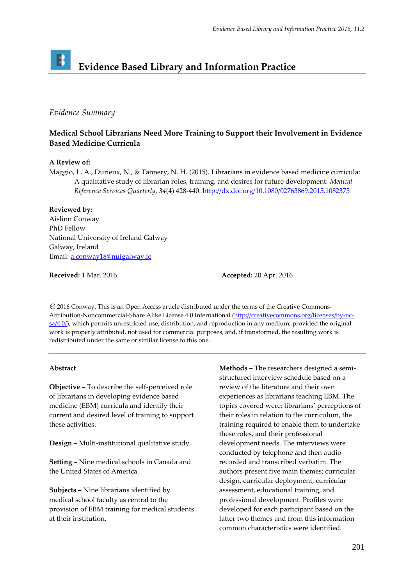# B **Evidence Based Library and Information Practice**

## *Evidence Summary*

# **Medical School Librarians Need More Training to Support their Involvement in Evidence Based Medicine Curricula**

### **A Review of:**

Maggio, L. A., Durieux, N., & Tannery, N. H. (2015). Librarians in evidence based medicine curricula: A qualitative study of librarian roles, training, and desires for future development. *Medical Reference Services Quarterly, 34*(4) 428-440.<http://dx.doi.org/10.1080/02763869.2015.1082375>

**Reviewed by:**

Aislinn Conway PhD Fellow National University of Ireland Galway Galway, Ireland Email[: a.conway18@nuigalway.ie](mailto:a.conway18@nuigalway.ie)

**Received:** 1 Mar. 2016 **Accepted:** 20 Apr. 2016

2016 Conway. This is an Open Access article distributed under the terms of the Creative Commons‐ Attribution-Noncommercial-Share Alike License 4.0 International [\(http://creativecommons.org/licenses/by-nc](http://creativecommons.org/licenses/by-nc-sa/4.0/)[sa/4.0/\)](http://creativecommons.org/licenses/by-nc-sa/4.0/), which permits unrestricted use, distribution, and reproduction in any medium, provided the original work is properly attributed, not used for commercial purposes, and, if transformed, the resulting work is redistributed under the same or similar license to this one.

## **Abstract**

**Objective –** To describe the self-perceived role of librarians in developing evidence based medicine (EBM) curricula and identify their current and desired level of training to support these activities.

**Design –** Multi-institutional qualitative study.

**Setting –** Nine medical schools in Canada and the United States of America.

**Subjects –** Nine librarians identified by medical school faculty as central to the provision of EBM training for medical students at their institution.

**Methods –** The researchers designed a semistructured interview schedule based on a review of the literature and their own experiences as librarians teaching EBM. The topics covered were; librarians' perceptions of their roles in relation to the curriculum, the training required to enable them to undertake these roles, and their professional development needs. The interviews were conducted by telephone and then audiorecorded and transcribed verbatim. The authors present five main themes; curricular design, curricular deployment, curricular assessment, educational training, and professional development. Profiles were developed for each participant based on the latter two themes and from this information common characteristics were identified.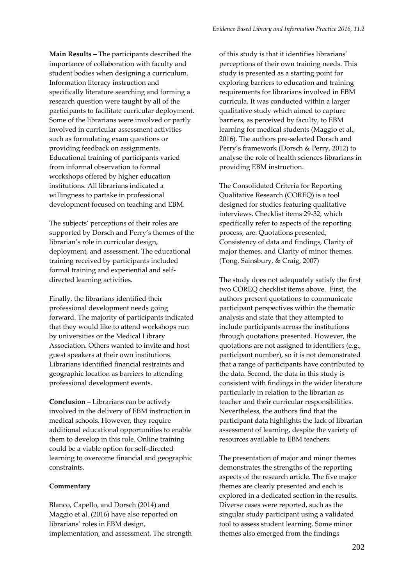**Main Results –** The participants described the importance of collaboration with faculty and student bodies when designing a curriculum. Information literacy instruction and specifically literature searching and forming a research question were taught by all of the participants to facilitate curricular deployment. Some of the librarians were involved or partly involved in curricular assessment activities such as formulating exam questions or providing feedback on assignments. Educational training of participants varied from informal observation to formal workshops offered by higher education institutions. All librarians indicated a willingness to partake in professional development focused on teaching and EBM.

The subjects' perceptions of their roles are supported by Dorsch and Perry's themes of the librarian's role in curricular design, deployment, and assessment. The educational training received by participants included formal training and experiential and selfdirected learning activities.

Finally, the librarians identified their professional development needs going forward. The majority of participants indicated that they would like to attend workshops run by universities or the Medical Library Association. Others wanted to invite and host guest speakers at their own institutions. Librarians identified financial restraints and geographic location as barriers to attending professional development events.

**Conclusion –** Librarians can be actively involved in the delivery of EBM instruction in medical schools. However, they require additional educational opportunities to enable them to develop in this role. Online training could be a viable option for self-directed learning to overcome financial and geographic constraints.

### **Commentary**

Blanco, Capello, and Dorsch (2014) and Maggio et al. (2016) have also reported on librarians' roles in EBM design, implementation, and assessment. The strength of this study is that it identifies librarians' perceptions of their own training needs. This study is presented as a starting point for exploring barriers to education and training requirements for librarians involved in EBM curricula. It was conducted within a larger qualitative study which aimed to capture barriers, as perceived by faculty, to EBM learning for medical students (Maggio et al., 2016). The authors pre-selected Dorsch and Perry's framework (Dorsch & Perry, 2012) to analyse the role of health sciences librarians in providing EBM instruction.

The Consolidated Criteria for Reporting Qualitative Research (COREQ) is a tool designed for studies featuring qualitative interviews. Checklist items 29-32, which specifically refer to aspects of the reporting process, are: Quotations presented, Consistency of data and findings, Clarity of major themes, and Clarity of minor themes. (Tong, Sainsbury, & Craig, 2007)

The study does not adequately satisfy the first two COREQ checklist items above. First, the authors present quotations to communicate participant perspectives within the thematic analysis and state that they attempted to include participants across the institutions through quotations presented. However, the quotations are not assigned to identifiers (e.g., participant number), so it is not demonstrated that a range of participants have contributed to the data. Second, the data in this study is consistent with findings in the wider literature particularly in relation to the librarian as teacher and their curricular responsibilities. Nevertheless, the authors find that the participant data highlights the lack of librarian assessment of learning, despite the variety of resources available to EBM teachers.

The presentation of major and minor themes demonstrates the strengths of the reporting aspects of the research article. The five major themes are clearly presented and each is explored in a dedicated section in the results. Diverse cases were reported, such as the singular study participant using a validated tool to assess student learning. Some minor themes also emerged from the findings